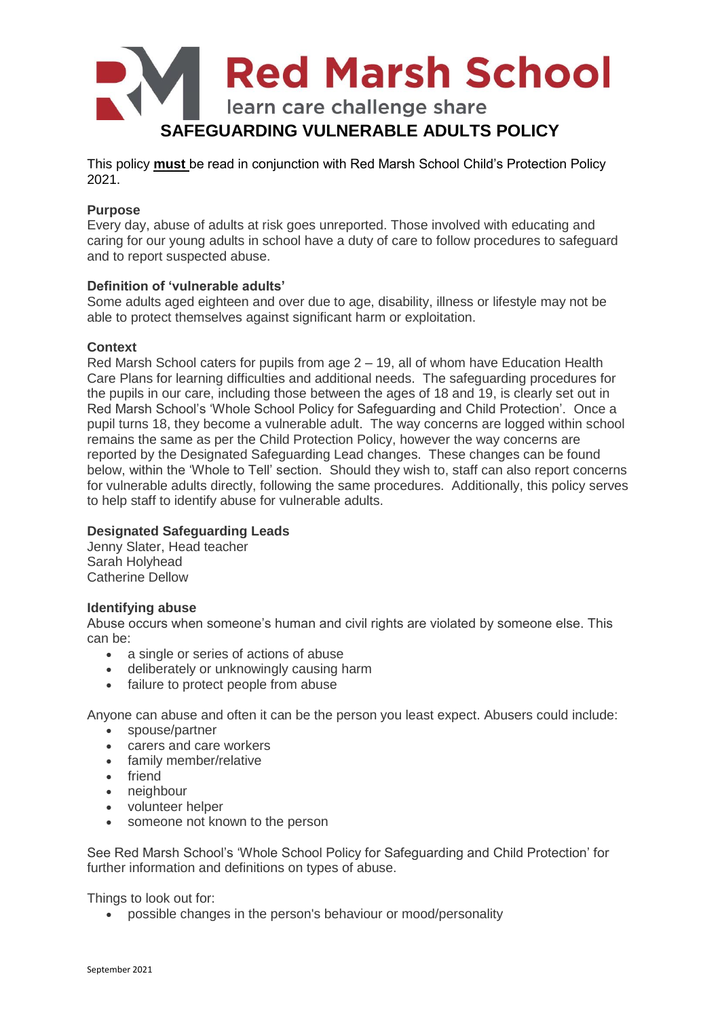

This policy **must** be read in conjunction with Red Marsh School Child's Protection Policy 2021.

# **Purpose**

Every day, abuse of adults at risk goes unreported. Those involved with educating and caring for our young adults in school have a duty of care to follow procedures to safeguard and to report suspected abuse.

## **Definition of 'vulnerable adults'**

Some adults aged eighteen and over due to age, disability, illness or lifestyle may not be able to protect themselves against significant harm or exploitation.

## **Context**

Red Marsh School caters for pupils from age 2 – 19, all of whom have Education Health Care Plans for learning difficulties and additional needs. The safeguarding procedures for the pupils in our care, including those between the ages of 18 and 19, is clearly set out in Red Marsh School's 'Whole School Policy for Safeguarding and Child Protection'. Once a pupil turns 18, they become a vulnerable adult. The way concerns are logged within school remains the same as per the Child Protection Policy, however the way concerns are reported by the Designated Safeguarding Lead changes. These changes can be found below, within the 'Whole to Tell' section. Should they wish to, staff can also report concerns for vulnerable adults directly, following the same procedures. Additionally, this policy serves to help staff to identify abuse for vulnerable adults.

#### **Designated Safeguarding Leads**

Jenny Slater, Head teacher Sarah Holyhead Catherine Dellow

#### **Identifying abuse**

Abuse occurs when someone's human and civil rights are violated by someone else. This can be:

- a single or series of actions of abuse
- deliberately or unknowingly causing harm
- failure to protect people from abuse

Anyone can abuse and often it can be the person you least expect. Abusers could include:

- spouse/partner
- carers and care workers
- family member/relative
- friend
- neighbour
- volunteer helper
- someone not known to the person

See Red Marsh School's 'Whole School Policy for Safeguarding and Child Protection' for further information and definitions on types of abuse.

Things to look out for:

possible changes in the person's behaviour or mood/personality